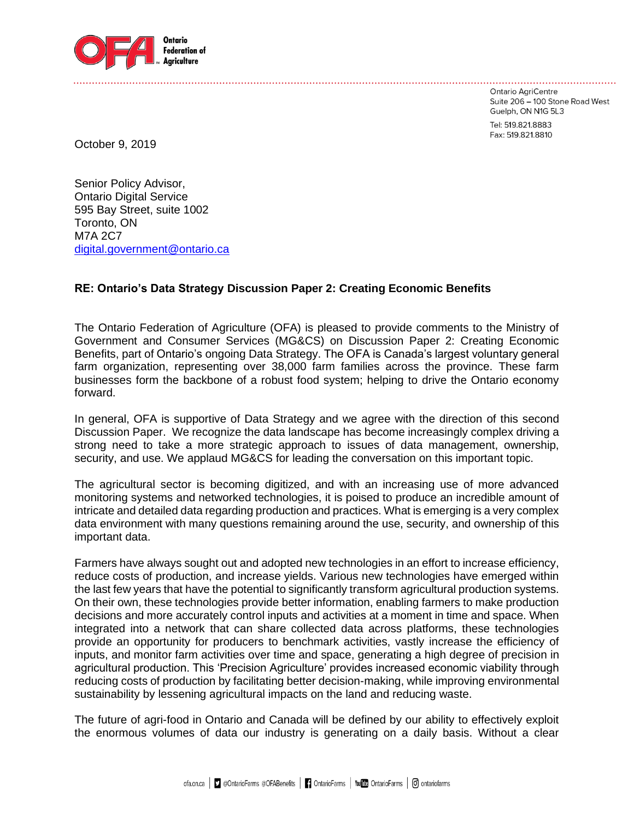

Ontario AgriCentre Suite 206 - 100 Stone Road West Guelph, ON N1G 5L3

Tel: 519.821.8883 Fax: 519.821.8810

October 9, 2019

Senior Policy Advisor, Ontario Digital Service 595 Bay Street, suite 1002 Toronto, ON M7A 2C7 [digital.government@ontario.ca](mailto:digital.government@ontario.ca)

# **RE: Ontario's Data Strategy Discussion Paper 2: Creating Economic Benefits**

The Ontario Federation of Agriculture (OFA) is pleased to provide comments to the Ministry of Government and Consumer Services (MG&CS) on Discussion Paper 2: Creating Economic Benefits, part of Ontario's ongoing Data Strategy. The OFA is Canada's largest voluntary general farm organization, representing over 38,000 farm families across the province. These farm businesses form the backbone of a robust food system; helping to drive the Ontario economy forward.

In general, OFA is supportive of Data Strategy and we agree with the direction of this second Discussion Paper. We recognize the data landscape has become increasingly complex driving a strong need to take a more strategic approach to issues of data management, ownership, security, and use. We applaud MG&CS for leading the conversation on this important topic.

The agricultural sector is becoming digitized, and with an increasing use of more advanced monitoring systems and networked technologies, it is poised to produce an incredible amount of intricate and detailed data regarding production and practices. What is emerging is a very complex data environment with many questions remaining around the use, security, and ownership of this important data.

Farmers have always sought out and adopted new technologies in an effort to increase efficiency, reduce costs of production, and increase yields. Various new technologies have emerged within the last few years that have the potential to significantly transform agricultural production systems. On their own, these technologies provide better information, enabling farmers to make production decisions and more accurately control inputs and activities at a moment in time and space. When integrated into a network that can share collected data across platforms, these technologies provide an opportunity for producers to benchmark activities, vastly increase the efficiency of inputs, and monitor farm activities over time and space, generating a high degree of precision in agricultural production. This 'Precision Agriculture' provides increased economic viability through reducing costs of production by facilitating better decision-making, while improving environmental sustainability by lessening agricultural impacts on the land and reducing waste.

The future of agri-food in Ontario and Canada will be defined by our ability to effectively exploit the enormous volumes of data our industry is generating on a daily basis. Without a clear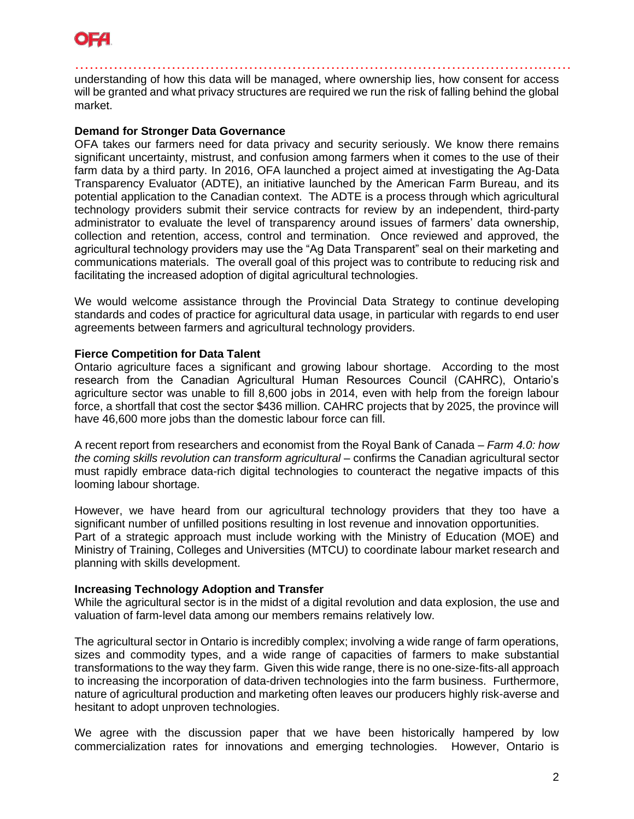

…………………………………………………………………………………….…… understanding of how this data will be managed, where ownership lies, how consent for access will be granted and what privacy structures are required we run the risk of falling behind the global market.

## **Demand for Stronger Data Governance**

OFA takes our farmers need for data privacy and security seriously. We know there remains significant uncertainty, mistrust, and confusion among farmers when it comes to the use of their farm data by a third party. In 2016, OFA launched a project aimed at investigating the Ag-Data Transparency Evaluator (ADTE), an initiative launched by the American Farm Bureau, and its potential application to the Canadian context. The ADTE is a process through which agricultural technology providers submit their service contracts for review by an independent, third-party administrator to evaluate the level of transparency around issues of farmers' data ownership, collection and retention, access, control and termination. Once reviewed and approved, the agricultural technology providers may use the "Ag Data Transparent" seal on their marketing and communications materials. The overall goal of this project was to contribute to reducing risk and facilitating the increased adoption of digital agricultural technologies.

We would welcome assistance through the Provincial Data Strategy to continue developing standards and codes of practice for agricultural data usage, in particular with regards to end user agreements between farmers and agricultural technology providers.

## **Fierce Competition for Data Talent**

Ontario agriculture faces a significant and growing labour shortage. According to the most research from the Canadian Agricultural Human Resources Council (CAHRC), Ontario's agriculture sector was unable to fill 8,600 jobs in 2014, even with help from the foreign labour force, a shortfall that cost the sector \$436 million. CAHRC projects that by 2025, the province will have 46,600 more jobs than the domestic labour force can fill.

A recent report from researchers and economist from the Royal Bank of Canada – *Farm 4.0: how the coming skills revolution can transform agricultural* – confirms the Canadian agricultural sector must rapidly embrace data-rich digital technologies to counteract the negative impacts of this looming labour shortage.

However, we have heard from our agricultural technology providers that they too have a significant number of unfilled positions resulting in lost revenue and innovation opportunities. Part of a strategic approach must include working with the Ministry of Education (MOE) and Ministry of Training, Colleges and Universities (MTCU) to coordinate labour market research and planning with skills development.

### **Increasing Technology Adoption and Transfer**

While the agricultural sector is in the midst of a digital revolution and data explosion, the use and valuation of farm-level data among our members remains relatively low.

The agricultural sector in Ontario is incredibly complex; involving a wide range of farm operations, sizes and commodity types, and a wide range of capacities of farmers to make substantial transformations to the way they farm. Given this wide range, there is no one-size-fits-all approach to increasing the incorporation of data-driven technologies into the farm business. Furthermore, nature of agricultural production and marketing often leaves our producers highly risk-averse and hesitant to adopt unproven technologies.

We agree with the discussion paper that we have been historically hampered by low commercialization rates for innovations and emerging technologies. However, Ontario is